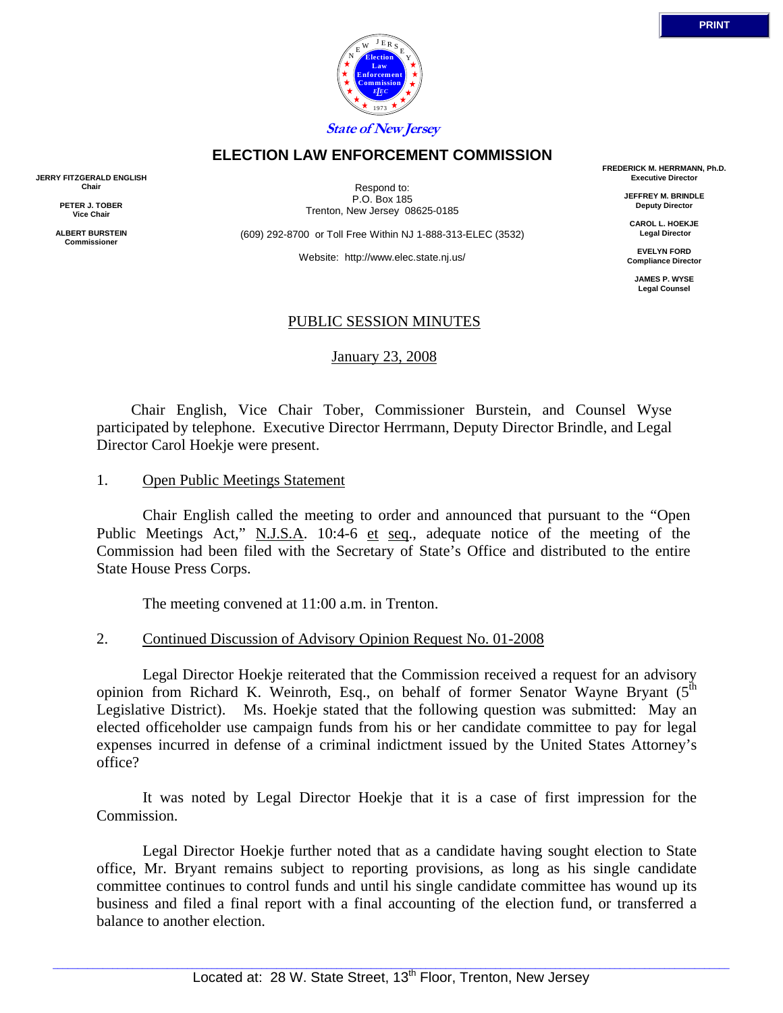

## **ELECTION LAW ENFORCEMENT COMMISSION**

**JERRY FITZGERALD ENGLISH Chair** 

> **PETER J. TOBER Vice Chair**

**ALBERT BURSTEIN Commissioner** 

Respond to: P.O. Box 185 Trenton, New Jersey 08625-0185

(609) 292-8700 or Toll Free Within NJ 1-888-313-ELEC (3532)

Website: http://www.elec.state.nj.us/

**FREDERICK M. HERRMANN, Ph.D. Executive Director** 

> **JEFFREY M. BRINDLE Deputy Director**

**CAROL L. HOEKJE Legal Director** 

**EVELYN FORD Compliance Director** 

> **JAMES P. WYSE Legal Counsel**

## PUBLIC SESSION MINUTES

January 23, 2008

 Chair English, Vice Chair Tober, Commissioner Burstein, and Counsel Wyse participated by telephone. Executive Director Herrmann, Deputy Director Brindle, and Legal Director Carol Hoekje were present.

#### 1. Open Public Meetings Statement

 Chair English called the meeting to order and announced that pursuant to the "Open Public Meetings Act," N.J.S.A. 10:4-6 et seq., adequate notice of the meeting of the Commission had been filed with the Secretary of State's Office and distributed to the entire State House Press Corps.

The meeting convened at 11:00 a.m. in Trenton.

#### 2. Continued Discussion of Advisory Opinion Request No. 01-2008

 Legal Director Hoekje reiterated that the Commission received a request for an advisory opinion from Richard K. Weinroth, Esq., on behalf of former Senator Wayne Bryant  $(5^{th}$ Legislative District). Ms. Hoekje stated that the following question was submitted: May an elected officeholder use campaign funds from his or her candidate committee to pay for legal expenses incurred in defense of a criminal indictment issued by the United States Attorney's office?

 It was noted by Legal Director Hoekje that it is a case of first impression for the Commission.

 Legal Director Hoekje further noted that as a candidate having sought election to State office, Mr. Bryant remains subject to reporting provisions, as long as his single candidate committee continues to control funds and until his single candidate committee has wound up its business and filed a final report with a final accounting of the election fund, or transferred a balance to another election.

**PRINT**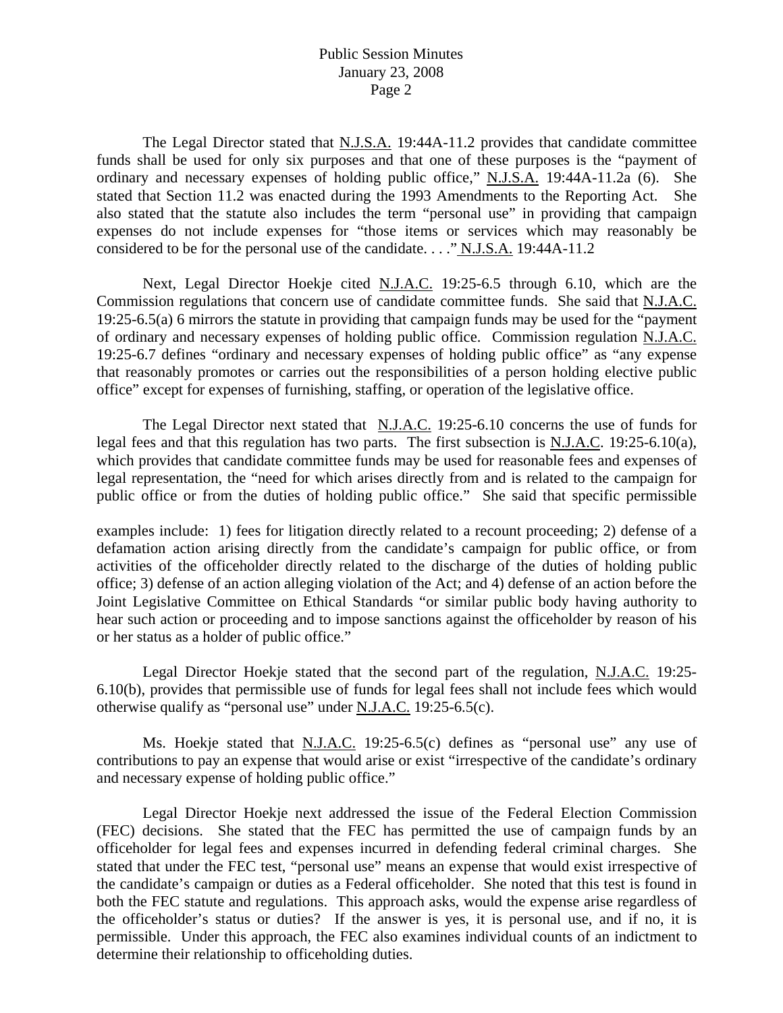## Public Session Minutes January 23, 2008 Page 2

The Legal Director stated that N.J.S.A. 19:44A-11.2 provides that candidate committee funds shall be used for only six purposes and that one of these purposes is the "payment of ordinary and necessary expenses of holding public office," N.J.S.A. 19:44A-11.2a (6). She stated that Section 11.2 was enacted during the 1993 Amendments to the Reporting Act. She also stated that the statute also includes the term "personal use" in providing that campaign expenses do not include expenses for "those items or services which may reasonably be considered to be for the personal use of the candidate. . . ." N.J.S.A. 19:44A-11.2

 Next, Legal Director Hoekje cited N.J.A.C. 19:25-6.5 through 6.10, which are the Commission regulations that concern use of candidate committee funds. She said that N.J.A.C. 19:25-6.5(a) 6 mirrors the statute in providing that campaign funds may be used for the "payment of ordinary and necessary expenses of holding public office. Commission regulation N.J.A.C. 19:25-6.7 defines "ordinary and necessary expenses of holding public office" as "any expense that reasonably promotes or carries out the responsibilities of a person holding elective public office" except for expenses of furnishing, staffing, or operation of the legislative office.

 The Legal Director next stated that N.J.A.C. 19:25-6.10 concerns the use of funds for legal fees and that this regulation has two parts. The first subsection is N.J.A.C. 19:25-6.10(a), which provides that candidate committee funds may be used for reasonable fees and expenses of legal representation, the "need for which arises directly from and is related to the campaign for public office or from the duties of holding public office." She said that specific permissible

examples include: 1) fees for litigation directly related to a recount proceeding; 2) defense of a defamation action arising directly from the candidate's campaign for public office, or from activities of the officeholder directly related to the discharge of the duties of holding public office; 3) defense of an action alleging violation of the Act; and 4) defense of an action before the Joint Legislative Committee on Ethical Standards "or similar public body having authority to hear such action or proceeding and to impose sanctions against the officeholder by reason of his or her status as a holder of public office."

 Legal Director Hoekje stated that the second part of the regulation, N.J.A.C. 19:25- 6.10(b), provides that permissible use of funds for legal fees shall not include fees which would otherwise qualify as "personal use" under N.J.A.C. 19:25-6.5(c).

 Ms. Hoekje stated that N.J.A.C. 19:25-6.5(c) defines as "personal use" any use of contributions to pay an expense that would arise or exist "irrespective of the candidate's ordinary and necessary expense of holding public office."

 Legal Director Hoekje next addressed the issue of the Federal Election Commission (FEC) decisions. She stated that the FEC has permitted the use of campaign funds by an officeholder for legal fees and expenses incurred in defending federal criminal charges. She stated that under the FEC test, "personal use" means an expense that would exist irrespective of the candidate's campaign or duties as a Federal officeholder. She noted that this test is found in both the FEC statute and regulations. This approach asks, would the expense arise regardless of the officeholder's status or duties? If the answer is yes, it is personal use, and if no, it is permissible. Under this approach, the FEC also examines individual counts of an indictment to determine their relationship to officeholding duties.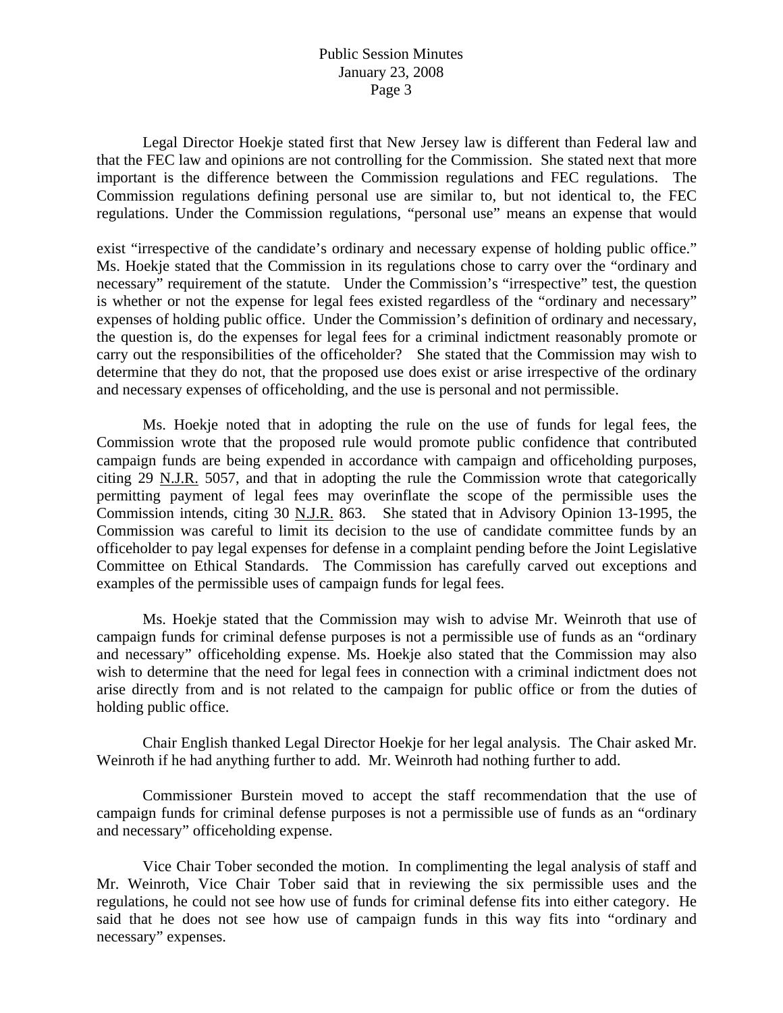## Public Session Minutes January 23, 2008 Page 3

 Legal Director Hoekje stated first that New Jersey law is different than Federal law and that the FEC law and opinions are not controlling for the Commission. She stated next that more important is the difference between the Commission regulations and FEC regulations. The Commission regulations defining personal use are similar to, but not identical to, the FEC regulations. Under the Commission regulations, "personal use" means an expense that would

exist "irrespective of the candidate's ordinary and necessary expense of holding public office." Ms. Hoekje stated that the Commission in its regulations chose to carry over the "ordinary and necessary" requirement of the statute. Under the Commission's "irrespective" test, the question is whether or not the expense for legal fees existed regardless of the "ordinary and necessary" expenses of holding public office. Under the Commission's definition of ordinary and necessary, the question is, do the expenses for legal fees for a criminal indictment reasonably promote or carry out the responsibilities of the officeholder? She stated that the Commission may wish to determine that they do not, that the proposed use does exist or arise irrespective of the ordinary and necessary expenses of officeholding, and the use is personal and not permissible.

 Ms. Hoekje noted that in adopting the rule on the use of funds for legal fees, the Commission wrote that the proposed rule would promote public confidence that contributed campaign funds are being expended in accordance with campaign and officeholding purposes, citing 29 N.J.R. 5057, and that in adopting the rule the Commission wrote that categorically permitting payment of legal fees may overinflate the scope of the permissible uses the Commission intends, citing 30 N.J.R. 863. She stated that in Advisory Opinion 13-1995, the Commission was careful to limit its decision to the use of candidate committee funds by an officeholder to pay legal expenses for defense in a complaint pending before the Joint Legislative Committee on Ethical Standards. The Commission has carefully carved out exceptions and examples of the permissible uses of campaign funds for legal fees.

 Ms. Hoekje stated that the Commission may wish to advise Mr. Weinroth that use of campaign funds for criminal defense purposes is not a permissible use of funds as an "ordinary and necessary" officeholding expense. Ms. Hoekje also stated that the Commission may also wish to determine that the need for legal fees in connection with a criminal indictment does not arise directly from and is not related to the campaign for public office or from the duties of holding public office.

 Chair English thanked Legal Director Hoekje for her legal analysis. The Chair asked Mr. Weinroth if he had anything further to add. Mr. Weinroth had nothing further to add.

 Commissioner Burstein moved to accept the staff recommendation that the use of campaign funds for criminal defense purposes is not a permissible use of funds as an "ordinary and necessary" officeholding expense.

 Vice Chair Tober seconded the motion. In complimenting the legal analysis of staff and Mr. Weinroth, Vice Chair Tober said that in reviewing the six permissible uses and the regulations, he could not see how use of funds for criminal defense fits into either category. He said that he does not see how use of campaign funds in this way fits into "ordinary and necessary" expenses.